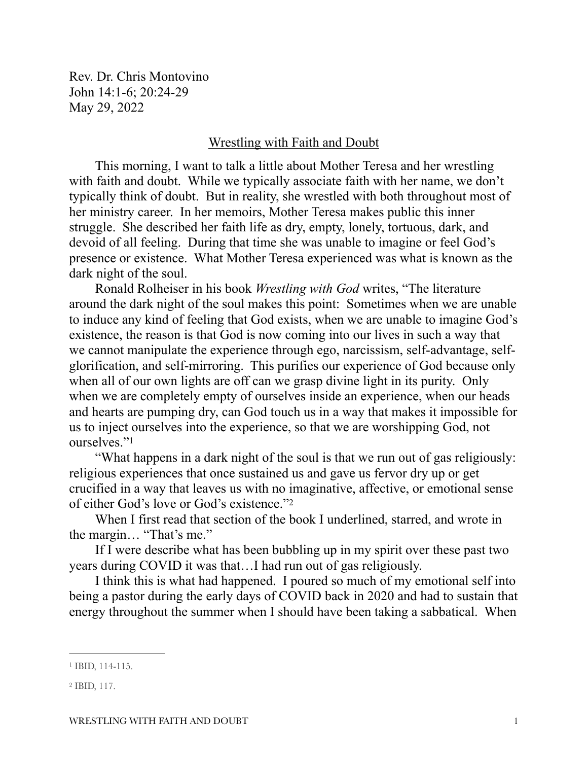Rev. Dr. Chris Montovino John 14:1-6; 20:24-29 May 29, 2022

## Wrestling with Faith and Doubt

This morning, I want to talk a little about Mother Teresa and her wrestling with faith and doubt. While we typically associate faith with her name, we don't typically think of doubt. But in reality, she wrestled with both throughout most of her ministry career. In her memoirs, Mother Teresa makes public this inner struggle. She described her faith life as dry, empty, lonely, tortuous, dark, and devoid of all feeling. During that time she was unable to imagine or feel God's presence or existence. What Mother Teresa experienced was what is known as the dark night of the soul.

Ronald Rolheiser in his book *Wrestling with God* writes, "The literature around the dark night of the soul makes this point: Sometimes when we are unable to induce any kind of feeling that God exists, when we are unable to imagine God's existence, the reason is that God is now coming into our lives in such a way that we cannot manipulate the experience through ego, narcissism, self-advantage, selfglorification, and self-mirroring. This purifies our experience of God because only when all of our own lights are off can we grasp divine light in its purity. Only when we are completely empty of ourselves inside an experience, when our heads and hearts are pumping dry, can God touch us in a way that makes it impossible for us to inject ourselves into the experience, so that we are worshipping God, not ourselves."<sup>[1](#page-0-0)</sup>

<span id="page-0-2"></span>"What happens in a dark night of the soul is that we run out of gas religiously: religious experiences that once sustained us and gave us fervor dry up or get crucified in a way that leaves us with no imaginative, affective, or emotional sense of either God's love or God's existence."[2](#page-0-1)

<span id="page-0-3"></span>When I first read that section of the book I underlined, starred, and wrote in the margin… "That's me."

If I were describe what has been bubbling up in my spirit over these past two years during COVID it was that…I had run out of gas religiously.

I think this is what had happened. I poured so much of my emotional self into being a pastor during the early days of COVID back in 2020 and had to sustain that energy throughout the summer when I should have been taking a sabbatical. When

<span id="page-0-0"></span><sup>&</sup>lt;sup>[1](#page-0-2)</sup> IBID, 114-115.

<span id="page-0-1"></span> $2$  IBID, 117.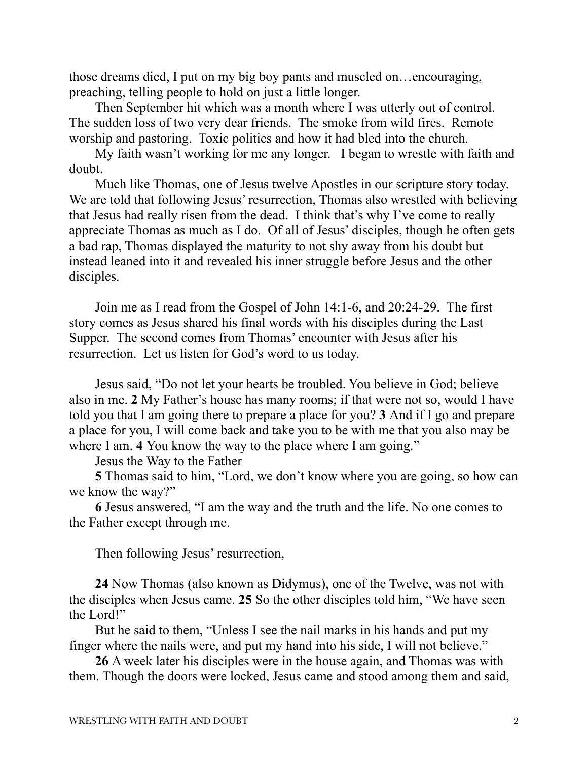those dreams died, I put on my big boy pants and muscled on…encouraging, preaching, telling people to hold on just a little longer.

Then September hit which was a month where I was utterly out of control. The sudden loss of two very dear friends. The smoke from wild fires. Remote worship and pastoring. Toxic politics and how it had bled into the church.

My faith wasn't working for me any longer. I began to wrestle with faith and doubt.

Much like Thomas, one of Jesus twelve Apostles in our scripture story today. We are told that following Jesus' resurrection, Thomas also wrestled with believing that Jesus had really risen from the dead. I think that's why I've come to really appreciate Thomas as much as I do. Of all of Jesus' disciples, though he often gets a bad rap, Thomas displayed the maturity to not shy away from his doubt but instead leaned into it and revealed his inner struggle before Jesus and the other disciples.

Join me as I read from the Gospel of John 14:1-6, and 20:24-29. The first story comes as Jesus shared his final words with his disciples during the Last Supper. The second comes from Thomas' encounter with Jesus after his resurrection. Let us listen for God's word to us today.

Jesus said, "Do not let your hearts be troubled. You believe in God; believe also in me. **2** My Father's house has many rooms; if that were not so, would I have told you that I am going there to prepare a place for you? **3** And if I go and prepare a place for you, I will come back and take you to be with me that you also may be where I am. **4** You know the way to the place where I am going."

Jesus the Way to the Father

**5** Thomas said to him, "Lord, we don't know where you are going, so how can we know the way?"

**6** Jesus answered, "I am the way and the truth and the life. No one comes to the Father except through me.

Then following Jesus' resurrection,

**24** Now Thomas (also known as Didymus), one of the Twelve, was not with the disciples when Jesus came. **25** So the other disciples told him, "We have seen the Lord!"

But he said to them, "Unless I see the nail marks in his hands and put my finger where the nails were, and put my hand into his side, I will not believe."

**26** A week later his disciples were in the house again, and Thomas was with them. Though the doors were locked, Jesus came and stood among them and said,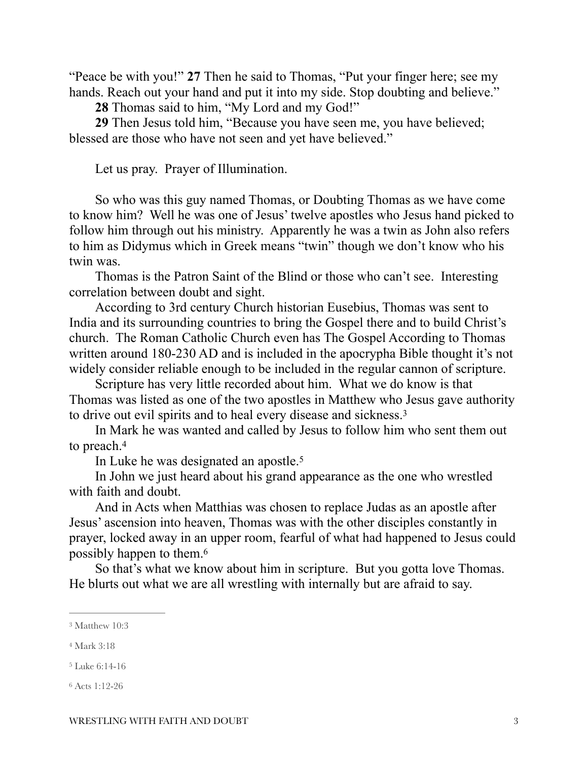"Peace be with you!" **27** Then he said to Thomas, "Put your finger here; see my hands. Reach out your hand and put it into my side. Stop doubting and believe."

**28** Thomas said to him, "My Lord and my God!"

**29** Then Jesus told him, "Because you have seen me, you have believed; blessed are those who have not seen and yet have believed."

Let us pray. Prayer of Illumination.

So who was this guy named Thomas, or Doubting Thomas as we have come to know him? Well he was one of Jesus' twelve apostles who Jesus hand picked to follow him through out his ministry. Apparently he was a twin as John also refers to him as Didymus which in Greek means "twin" though we don't know who his twin was.

Thomas is the Patron Saint of the Blind or those who can't see. Interesting correlation between doubt and sight.

According to 3rd century Church historian Eusebius, Thomas was sent to India and its surrounding countries to bring the Gospel there and to build Christ's church. The Roman Catholic Church even has The Gospel According to Thomas written around 180-230 AD and is included in the apocrypha Bible thought it's not widely consider reliable enough to be included in the regular cannon of scripture.

Scripture has very little recorded about him. What we do know is that Thomas was listed as one of the two apostles in Matthew who Jesus gave authority to drive out evil spirits and to heal every disease and sickness.[3](#page-2-0)

In Mark he was wanted and called by Jesus to follow him who sent them out to preach[. 4](#page-2-1)

<span id="page-2-6"></span><span id="page-2-5"></span><span id="page-2-4"></span>In Luke he was designated an apostle.<sup>[5](#page-2-2)</sup>

In John we just heard about his grand appearance as the one who wrestled with faith and doubt.

And in Acts when Matthias was chosen to replace Judas as an apostle after Jesus' ascension into heaven, Thomas was with the other disciples constantly in prayer, locked away in an upper room, fearful of what had happened to Jesus could possibly happen to them. [6](#page-2-3)

<span id="page-2-7"></span>So that's what we know about him in scripture. But you gotta love Thomas. He blurts out what we are all wrestling with internally but are afraid to say.

<span id="page-2-0"></span>[<sup>3</sup>](#page-2-4) Matthew 10:3

<span id="page-2-1"></span>[<sup>4</sup>](#page-2-5) Mark 3:18

<span id="page-2-2"></span>[<sup>5</sup>](#page-2-6) Luke 6:14-16

<span id="page-2-3"></span>[<sup>6</sup>](#page-2-7) Acts 1:12-26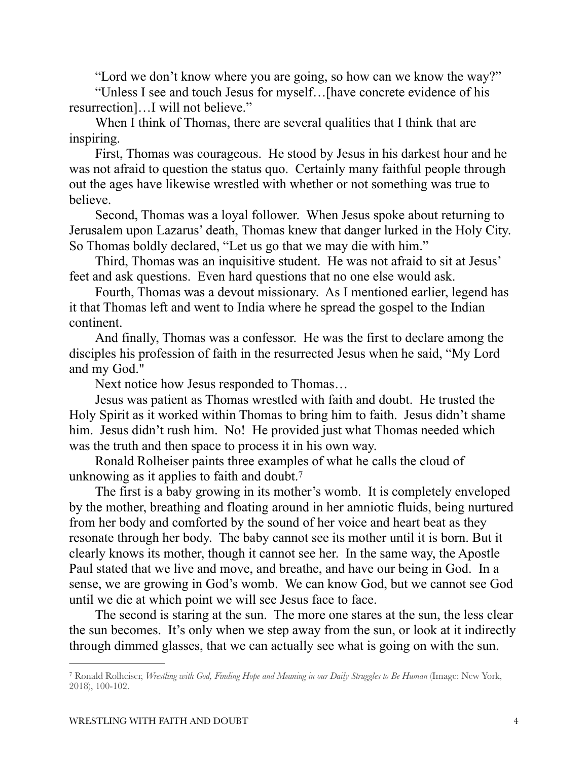"Lord we don't know where you are going, so how can we know the way?"

"Unless I see and touch Jesus for myself…[have concrete evidence of his resurrection]…I will not believe."

When I think of Thomas, there are several qualities that I think that are inspiring.

First, Thomas was courageous. He stood by Jesus in his darkest hour and he was not afraid to question the status quo. Certainly many faithful people through out the ages have likewise wrestled with whether or not something was true to believe.

Second, Thomas was a loyal follower. When Jesus spoke about returning to Jerusalem upon Lazarus' death, Thomas knew that danger lurked in the Holy City. So Thomas boldly declared, "Let us go that we may die with him."

Third, Thomas was an inquisitive student. He was not afraid to sit at Jesus' feet and ask questions. Even hard questions that no one else would ask.

Fourth, Thomas was a devout missionary. As I mentioned earlier, legend has it that Thomas left and went to India where he spread the gospel to the Indian continent.

And finally, Thomas was a confessor. He was the first to declare among the disciples his profession of faith in the resurrected Jesus when he said, "My Lord and my God."

<span id="page-3-1"></span>Next notice how Jesus responded to Thomas…

Jesus was patient as Thomas wrestled with faith and doubt. He trusted the Holy Spirit as it worked within Thomas to bring him to faith. Jesus didn't shame him. Jesus didn't rush him. No! He provided just what Thomas needed which was the truth and then space to process it in his own way.

Ronald Rolheiser paints three examples of what he calls the cloud of unknowing as it applies to faith and doubt.<sup>[7](#page-3-0)</sup>

The first is a baby growing in its mother's womb. It is completely enveloped by the mother, breathing and floating around in her amniotic fluids, being nurtured from her body and comforted by the sound of her voice and heart beat as they resonate through her body. The baby cannot see its mother until it is born. But it clearly knows its mother, though it cannot see her. In the same way, the Apostle Paul stated that we live and move, and breathe, and have our being in God. In a sense, we are growing in God's womb. We can know God, but we cannot see God until we die at which point we will see Jesus face to face.

The second is staring at the sun. The more one stares at the sun, the less clear the sun becomes. It's only when we step away from the sun, or look at it indirectly through dimmed glasses, that we can actually see what is going on with the sun.

<span id="page-3-0"></span>Ronald Rolheiser, *Wrestling with God, Finding Hope and Meaning in our Daily Struggles to Be Human* (Image: New York, [7](#page-3-1) 2018), 100-102.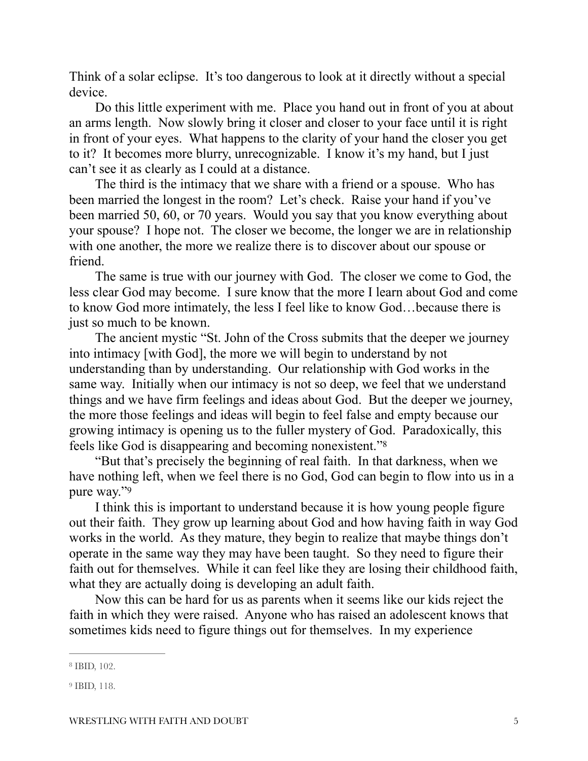Think of a solar eclipse. It's too dangerous to look at it directly without a special device.

Do this little experiment with me. Place you hand out in front of you at about an arms length. Now slowly bring it closer and closer to your face until it is right in front of your eyes. What happens to the clarity of your hand the closer you get to it? It becomes more blurry, unrecognizable. I know it's my hand, but I just can't see it as clearly as I could at a distance.

The third is the intimacy that we share with a friend or a spouse. Who has been married the longest in the room? Let's check. Raise your hand if you've been married 50, 60, or 70 years. Would you say that you know everything about your spouse? I hope not. The closer we become, the longer we are in relationship with one another, the more we realize there is to discover about our spouse or friend.

The same is true with our journey with God. The closer we come to God, the less clear God may become. I sure know that the more I learn about God and come to know God more intimately, the less I feel like to know God…because there is just so much to be known.

The ancient mystic "St. John of the Cross submits that the deeper we journey into intimacy [with God], the more we will begin to understand by not understanding than by understanding. Our relationship with God works in the same way. Initially when our intimacy is not so deep, we feel that we understand things and we have firm feelings and ideas about God. But the deeper we journey, the more those feelings and ideas will begin to feel false and empty because our growing intimacy is opening us to the fuller mystery of God. Paradoxically, this feels like God is disappearing and becoming nonexistent."[8](#page-4-0)

<span id="page-4-2"></span>"But that's precisely the beginning of real faith. In that darkness, when we have nothing left, when we feel there is no God, God can begin to flow into us in a pure way.["9](#page-4-1)

<span id="page-4-3"></span>I think this is important to understand because it is how young people figure out their faith. They grow up learning about God and how having faith in way God works in the world. As they mature, they begin to realize that maybe things don't operate in the same way they may have been taught. So they need to figure their faith out for themselves. While it can feel like they are losing their childhood faith, what they are actually doing is developing an adult faith.

Now this can be hard for us as parents when it seems like our kids reject the faith in which they were raised. Anyone who has raised an adolescent knows that sometimes kids need to figure things out for themselves. In my experience

<span id="page-4-0"></span><sup>&</sup>lt;sup>[8](#page-4-2)</sup> IBID, 102.

<span id="page-4-1"></span><sup>&</sup>lt;sup>[9](#page-4-3)</sup> IBID, 118.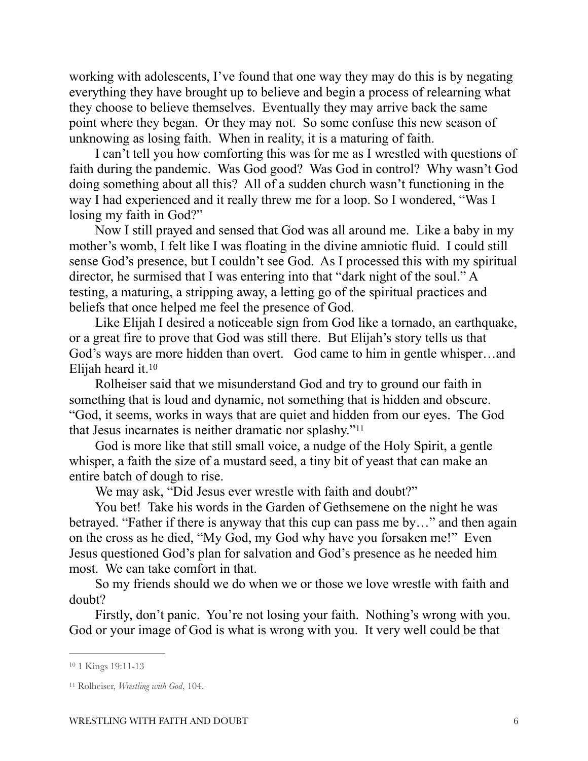working with adolescents, I've found that one way they may do this is by negating everything they have brought up to believe and begin a process of relearning what they choose to believe themselves. Eventually they may arrive back the same point where they began. Or they may not. So some confuse this new season of unknowing as losing faith. When in reality, it is a maturing of faith.

I can't tell you how comforting this was for me as I wrestled with questions of faith during the pandemic. Was God good? Was God in control? Why wasn't God doing something about all this? All of a sudden church wasn't functioning in the way I had experienced and it really threw me for a loop. So I wondered, "Was I losing my faith in God?"

Now I still prayed and sensed that God was all around me. Like a baby in my mother's womb, I felt like I was floating in the divine amniotic fluid. I could still sense God's presence, but I couldn't see God. As I processed this with my spiritual director, he surmised that I was entering into that "dark night of the soul." A testing, a maturing, a stripping away, a letting go of the spiritual practices and beliefs that once helped me feel the presence of God.

Like Elijah I desired a noticeable sign from God like a tornado, an earthquake, or a great fire to prove that God was still there. But Elijah's story tells us that God's ways are more hidden than overt. God came to him in gentle whisper…and Elijah heard it. [10](#page-5-0)

<span id="page-5-2"></span>Rolheiser said that we misunderstand God and try to ground our faith in something that is loud and dynamic, not something that is hidden and obscure. "God, it seems, works in ways that are quiet and hidden from our eyes. The God that Jesus incarnates is neither dramatic nor splashy.["11](#page-5-1)

God is more like that still small voice, a nudge of the Holy Spirit, a gentle whisper, a faith the size of a mustard seed, a tiny bit of yeast that can make an entire batch of dough to rise.

<span id="page-5-3"></span>We may ask, "Did Jesus ever wrestle with faith and doubt?"

You bet! Take his words in the Garden of Gethsemene on the night he was betrayed. "Father if there is anyway that this cup can pass me by…" and then again on the cross as he died, "My God, my God why have you forsaken me!" Even Jesus questioned God's plan for salvation and God's presence as he needed him most. We can take comfort in that.

So my friends should we do when we or those we love wrestle with faith and doubt?

Firstly, don't panic. You're not losing your faith. Nothing's wrong with you. God or your image of God is what is wrong with you. It very well could be that

<span id="page-5-0"></span>[<sup>10</sup>](#page-5-2) 1 Kings 19:11-13

<span id="page-5-1"></span><sup>&</sup>lt;sup>[11](#page-5-3)</sup> Rolheiser, *Wrestling with God*, 104.